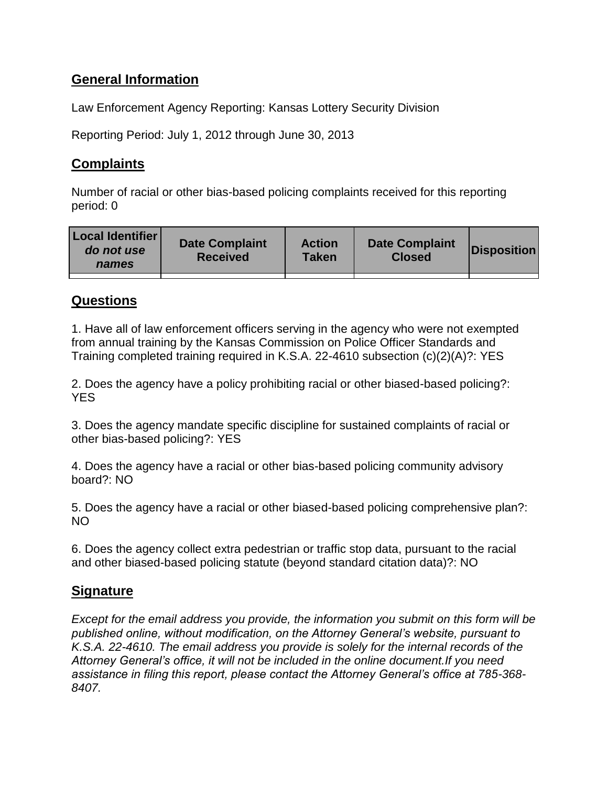# **General Information**

Law Enforcement Agency Reporting: Kansas Lottery Security Division

Reporting Period: July 1, 2012 through June 30, 2013

## **Complaints**

Number of racial or other bias-based policing complaints received for this reporting period: 0

| <b>Local Identifier</b><br>do not use<br>names | <b>Date Complaint</b><br><b>Received</b> | <b>Action</b><br><b>Taken</b> | <b>Date Complaint</b><br><b>Closed</b> | <b>Disposition</b> |
|------------------------------------------------|------------------------------------------|-------------------------------|----------------------------------------|--------------------|
|                                                |                                          |                               |                                        |                    |

### **Questions**

1. Have all of law enforcement officers serving in the agency who were not exempted from annual training by the Kansas Commission on Police Officer Standards and Training completed training required in K.S.A. 22-4610 subsection (c)(2)(A)?: YES

2. Does the agency have a policy prohibiting racial or other biased-based policing?: **YES** 

3. Does the agency mandate specific discipline for sustained complaints of racial or other bias-based policing?: YES

4. Does the agency have a racial or other bias-based policing community advisory board?: NO

5. Does the agency have a racial or other biased-based policing comprehensive plan?: NO

6. Does the agency collect extra pedestrian or traffic stop data, pursuant to the racial and other biased-based policing statute (beyond standard citation data)?: NO

### **Signature**

*Except for the email address you provide, the information you submit on this form will be published online, without modification, on the Attorney General's website, pursuant to K.S.A. 22-4610. The email address you provide is solely for the internal records of the Attorney General's office, it will not be included in the online document.If you need assistance in filing this report, please contact the Attorney General's office at 785-368- 8407.*